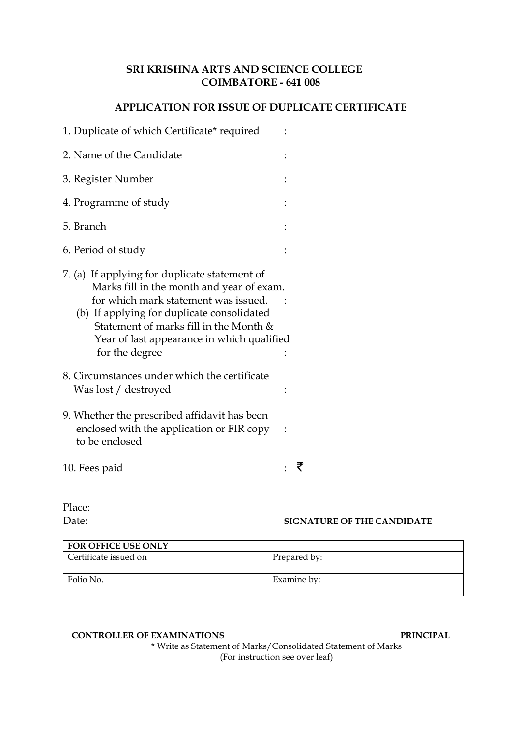## **SRI KRISHNA ARTS AND SCIENCE COLLEGE COIMBATORE - 641 008**

### **APPLICATION FOR ISSUE OF DUPLICATE CERTIFICATE**

| 1. Duplicate of which Certificate* required                                                                                                                                                                                                                                                |  |
|--------------------------------------------------------------------------------------------------------------------------------------------------------------------------------------------------------------------------------------------------------------------------------------------|--|
| 2. Name of the Candidate                                                                                                                                                                                                                                                                   |  |
| 3. Register Number                                                                                                                                                                                                                                                                         |  |
| 4. Programme of study                                                                                                                                                                                                                                                                      |  |
| 5. Branch                                                                                                                                                                                                                                                                                  |  |
| 6. Period of study                                                                                                                                                                                                                                                                         |  |
| 7. (a) If applying for duplicate statement of<br>Marks fill in the month and year of exam.<br>for which mark statement was issued.<br>(b) If applying for duplicate consolidated<br>Statement of marks fill in the Month &<br>Year of last appearance in which qualified<br>for the degree |  |
| 8. Circumstances under which the certificate<br>Was lost / destroyed                                                                                                                                                                                                                       |  |
| 9. Whether the prescribed affidavit has been<br>enclosed with the application or FIR copy<br>to be enclosed                                                                                                                                                                                |  |
| 10. Fees paid                                                                                                                                                                                                                                                                              |  |

Date: **SIGNATURE OF THE CANDIDATE**

| FOR OFFICE USE ONLY   |              |
|-----------------------|--------------|
| Certificate issued on | Prepared by: |
| Folio No.             | Examine by:  |

#### **CONTROLLER OF EXAMINATIONS PRINCIPAL**

Place:

\* Write as Statement of Marks/Consolidated Statement of Marks (For instruction see over leaf)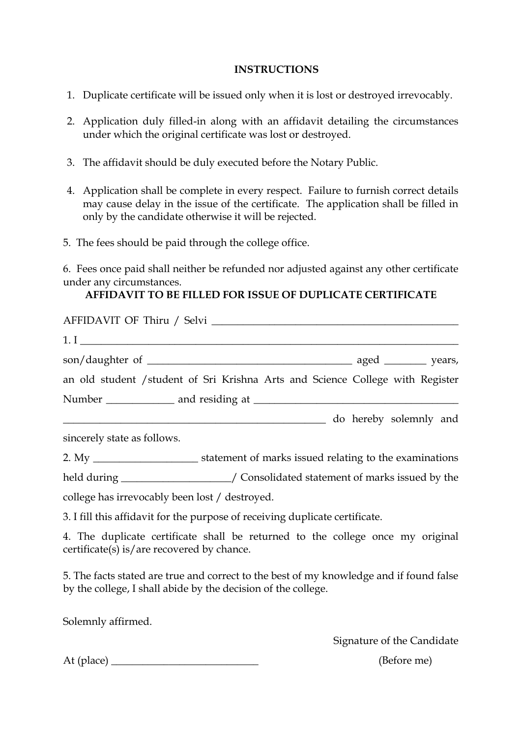### **INSTRUCTIONS**

- 1. Duplicate certificate will be issued only when it is lost or destroyed irrevocably.
- 2. Application duly filled-in along with an affidavit detailing the circumstances under which the original certificate was lost or destroyed.
- 3. The affidavit should be duly executed before the Notary Public.
- 4. Application shall be complete in every respect. Failure to furnish correct details may cause delay in the issue of the certificate. The application shall be filled in only by the candidate otherwise it will be rejected.
- 5. The fees should be paid through the college office.

6. Fees once paid shall neither be refunded nor adjusted against any other certificate under any circumstances.

# **AFFIDAVIT TO BE FILLED FOR ISSUE OF DUPLICATE CERTIFICATE**

| $1.1$ $\overline{\phantom{a}}$                 |                                                                                         |
|------------------------------------------------|-----------------------------------------------------------------------------------------|
|                                                |                                                                                         |
|                                                | an old student / student of Sri Krishna Arts and Science College with Register          |
|                                                |                                                                                         |
|                                                | do hereby solemnly and                                                                  |
| sincerely state as follows.                    |                                                                                         |
|                                                |                                                                                         |
|                                                | held during _____________________/ Consolidated statement of marks issued by the        |
| college has irrevocably been lost / destroyed. |                                                                                         |
|                                                | 3. I fill this affidavit for the purpose of receiving duplicate certificate.            |
| certificate(s) is/are recovered by chance.     | 4. The duplicate certificate shall be returned to the college once my original          |
|                                                | 5. The facts stated are true and correct to the best of my knowledge and if found false |

Solemnly affirmed.

Signature of the Candidate

At (place) \_\_\_\_\_\_\_\_\_\_\_\_\_\_\_\_\_\_\_\_\_\_\_\_\_\_\_\_ (Before me)

by the college, I shall abide by the decision of the college.